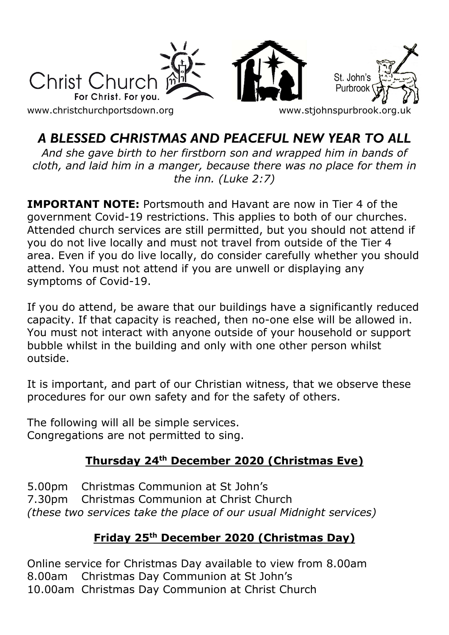

# *A BLESSED CHRISTMAS AND PEACEFUL NEW YEAR TO ALL*

*And she gave birth to her firstborn son and wrapped him in bands of cloth, and laid him in a manger, because there was no place for them in the inn. (Luke 2:7)*

**IMPORTANT NOTE:** Portsmouth and Havant are now in Tier 4 of the government Covid-19 restrictions. This applies to both of our churches. Attended church services are still permitted, but you should not attend if you do not live locally and must not travel from outside of the Tier 4 area. Even if you do live locally, do consider carefully whether you should attend. You must not attend if you are unwell or displaying any symptoms of Covid-19.

If you do attend, be aware that our buildings have a significantly reduced capacity. If that capacity is reached, then no-one else will be allowed in. You must not interact with anyone outside of your household or support bubble whilst in the building and only with one other person whilst outside.

It is important, and part of our Christian witness, that we observe these procedures for our own safety and for the safety of others.

The following will all be simple services. Congregations are not permitted to sing.

# **Thursday 24 th December 2020 (Christmas Eve)**

5.00pm Christmas Communion at St John's 7.30pm Christmas Communion at Christ Church *(these two services take the place of our usual Midnight services)*

## **Friday 25th December 2020 (Christmas Day)**

Online service for Christmas Day available to view from 8.00am 8.00am Christmas Day Communion at St John's 10.00am Christmas Day Communion at Christ Church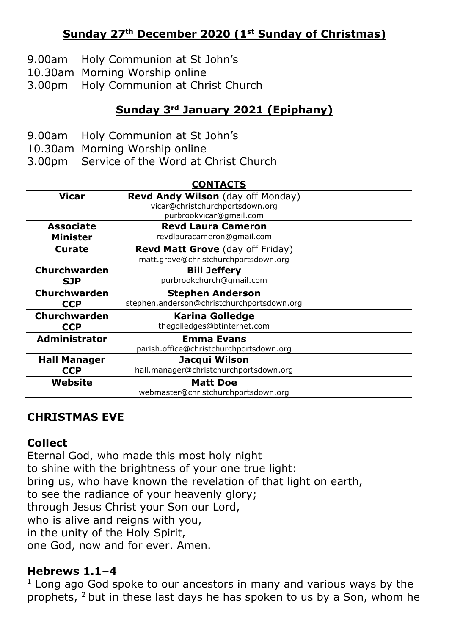## **Sunday 27th December 2020 (1st Sunday of Christmas)**

- 9.00am Holy Communion at St John's
- 10.30am Morning Worship online
- 3.00pm Holy Communion at Christ Church

### **Sunday 3 rd January 2021 (Epiphany)**

- 9.00am Holy Communion at St John's
- 10.30am Morning Worship online
- 3.00pm Service of the Word at Christ Church

| <b>CONTACTS</b>      |                                            |
|----------------------|--------------------------------------------|
| Vicar                | <b>Revd Andy Wilson</b> (day off Monday)   |
|                      | vicar@christchurchportsdown.org            |
|                      | purbrookvicar@gmail.com                    |
| <b>Associate</b>     | <b>Revd Laura Cameron</b>                  |
| <b>Minister</b>      | revdlauracameron@gmail.com                 |
| Curate               | <b>Revd Matt Grove</b> (day off Friday)    |
|                      | matt.grove@christchurchportsdown.org       |
| <b>Churchwarden</b>  | <b>Bill Jeffery</b>                        |
| <b>SJP</b>           | purbrookchurch@gmail.com                   |
| Churchwarden         | <b>Stephen Anderson</b>                    |
| <b>CCP</b>           | stephen.anderson@christchurchportsdown.org |
| <b>Churchwarden</b>  | <b>Karina Golledge</b>                     |
| <b>CCP</b>           | thegolledges@btinternet.com                |
| <b>Administrator</b> | <b>Emma Evans</b>                          |
|                      | parish.office@christchurchportsdown.org    |
| <b>Hall Manager</b>  | Jacqui Wilson                              |
| <b>CCP</b>           | hall.manager@christchurchportsdown.org     |
| Website              | <b>Matt Doe</b>                            |
|                      | webmaster@christchurchportsdown.org        |

#### **CHRISTMAS EVE**

#### **Collect**

Eternal God, who made this most holy night to shine with the brightness of your one true light: bring us, who have known the revelation of that light on earth, to see the radiance of your heavenly glory; through Jesus Christ your Son our Lord, who is alive and reigns with you, in the unity of the Holy Spirit, one God, now and for ever. Amen.

#### **Hebrews 1.1–4**

 $1$  Long ago God spoke to our ancestors in many and various ways by the prophets, 2 but in these last days he has spoken to us by a Son, whom he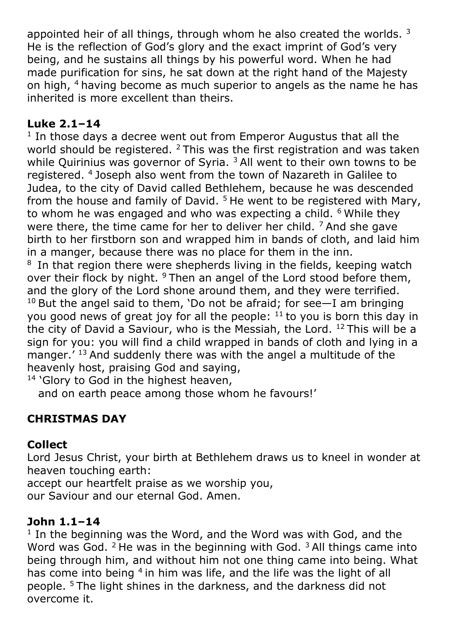appointed heir of all things, through whom he also created the worlds.  $3$ He is the reflection of God's glory and the exact imprint of God's very being, and he sustains all things by his powerful word. When he had made purification for sins, he sat down at the right hand of the Majesty on high, <sup>4</sup> having become as much superior to angels as the name he has inherited is more excellent than theirs.

### **Luke 2.1–14**

 $1$  In those days a decree went out from Emperor Augustus that all the world should be registered.  $2$  This was the first registration and was taken while Quirinius was governor of Syria.  $3$  All went to their own towns to be registered. <sup>4</sup>Joseph also went from the town of Nazareth in Galilee to Judea, to the city of David called Bethlehem, because he was descended from the house and family of David.<sup>5</sup> He went to be registered with Mary, to whom he was engaged and who was expecting a child.  $6$  While they were there, the time came for her to deliver her child.  $<sup>7</sup>$  And she gave</sup> birth to her firstborn son and wrapped him in bands of cloth, and laid him in a manger, because there was no place for them in the inn. <sup>8</sup> In that region there were shepherds living in the fields, keeping watch over their flock by night.  $9$  Then an angel of the Lord stood before them, and the glory of the Lord shone around them, and they were terrified.  $10$  But the angel said to them, 'Do not be afraid; for see $-$ I am bringing you good news of great joy for all the people:  $11$  to you is born this day in the city of David a Saviour, who is the Messiah, the Lord.  $12$  This will be a sign for you: you will find a child wrapped in bands of cloth and lying in a manger.<sup>' 13</sup> And suddenly there was with the angel a multitude of the heavenly host, praising God and saying,

<sup>14</sup> 'Glory to God in the highest heaven,

and on earth peace among those whom he favours!'

# **CHRISTMAS DAY**

#### **Collect**

Lord Jesus Christ, your birth at Bethlehem draws us to kneel in wonder at heaven touching earth: accept our heartfelt praise as we worship you, our Saviour and our eternal God. Amen.

#### **John 1.1–14**

<sup>1</sup> In the beginning was the Word, and the Word was with God, and the Word was God.  $2$  He was in the beginning with God.  $3$  All things came into being through him, and without him not one thing came into being. What has come into being <sup>4</sup> in him was life, and the life was the light of all people. <sup>5</sup>The light shines in the darkness, and the darkness did not overcome it.